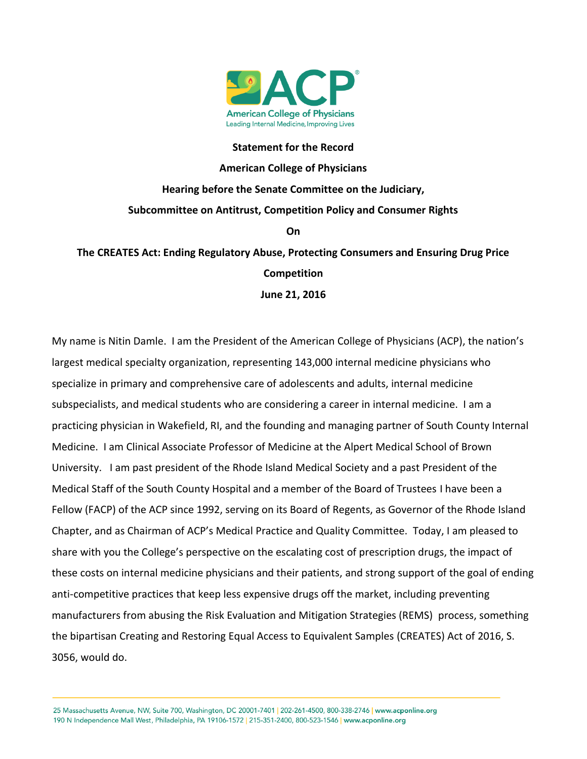

# **Statement for the Record American College of Physicians Hearing before the Senate Committee on the Judiciary, Subcommittee on Antitrust, Competition Policy and Consumer Rights On**

**The CREATES Act: Ending Regulatory Abuse, Protecting Consumers and Ensuring Drug Price Competition June 21, 2016**

My name is Nitin Damle. I am the President of the American College of Physicians (ACP), the nation's largest medical specialty organization, representing 143,000 internal medicine physicians who specialize in primary and comprehensive care of adolescents and adults, internal medicine subspecialists, and medical students who are considering a career in internal medicine. I am a practicing physician in Wakefield, RI, and the founding and managing partner of South County Internal Medicine. I am Clinical Associate Professor of Medicine at the Alpert Medical School of Brown University. I am past president of the Rhode Island Medical Society and a past President of the Medical Staff of the South County Hospital and a member of the Board of Trustees I have been a Fellow (FACP) of the ACP since 1992, serving on its Board of Regents, as Governor of the Rhode Island Chapter, and as Chairman of ACP's Medical Practice and Quality Committee. Today, I am pleased to share with you the College's perspective on the escalating cost of prescription drugs, the impact of these costs on internal medicine physicians and their patients, and strong support of the goal of ending anti-competitive practices that keep less expensive drugs off the market, including preventing manufacturers from abusing the Risk Evaluation and Mitigation Strategies (REMS) process, something the bipartisan Creating and Restoring Equal Access to Equivalent Samples (CREATES) Act of 2016, S. 3056, would do.

25 Massachusetts Avenue, NW, Suite 700, Washington, DC 20001-7401 | 202-261-4500, 800-338-2746 | www.acponline.org 190 N Independence Mall West, Philadelphia, PA 19106-1572 | 215-351-2400, 800-523-1546 | www.acponline.org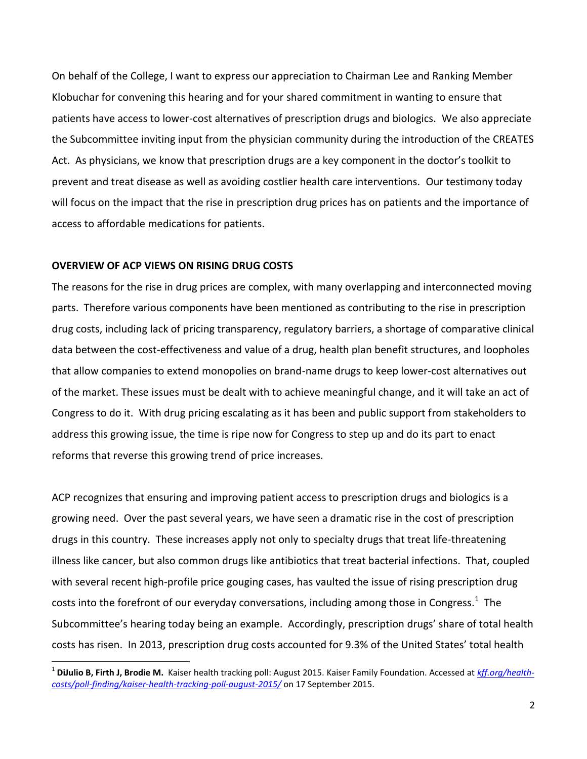On behalf of the College, I want to express our appreciation to Chairman Lee and Ranking Member Klobuchar for convening this hearing and for your shared commitment in wanting to ensure that patients have access to lower-cost alternatives of prescription drugs and biologics. We also appreciate the Subcommittee inviting input from the physician community during the introduction of the CREATES Act. As physicians, we know that prescription drugs are a key component in the doctor's toolkit to prevent and treat disease as well as avoiding costlier health care interventions. Our testimony today will focus on the impact that the rise in prescription drug prices has on patients and the importance of access to affordable medications for patients.

#### **OVERVIEW OF ACP VIEWS ON RISING DRUG COSTS**

l

The reasons for the rise in drug prices are complex, with many overlapping and interconnected moving parts. Therefore various components have been mentioned as contributing to the rise in prescription drug costs, including lack of pricing transparency, regulatory barriers, a shortage of comparative clinical data between the cost-effectiveness and value of a drug, health plan benefit structures, and loopholes that allow companies to extend monopolies on brand-name drugs to keep lower-cost alternatives out of the market. These issues must be dealt with to achieve meaningful change, and it will take an act of Congress to do it. With drug pricing escalating as it has been and public support from stakeholders to address this growing issue, the time is ripe now for Congress to step up and do its part to enact reforms that reverse this growing trend of price increases.

ACP recognizes that ensuring and improving patient access to prescription drugs and biologics is a growing need. Over the past several years, we have seen a dramatic rise in the cost of prescription drugs in this country. These increases apply not only to specialty drugs that treat life-threatening illness like cancer, but also common drugs like antibiotics that treat bacterial infections. That, coupled with several recent high-profile price gouging cases, has vaulted the issue of rising prescription drug costs into the forefront of our everyday conversations, including among those in Congress.<sup>1</sup> The Subcommittee's hearing today being an example. Accordingly, prescription drugs' share of total health costs has risen. In 2013, prescription drug costs accounted for 9.3% of the United States' total health

<sup>1</sup> **DiJulio B, Firth J, Brodie M.** Kaiser health tracking poll: August 2015. Kaiser Family Foundation. Accessed at *[kff.org/health](http://www.kff.org/health-costs/poll-finding/kaiser-health-tracking-poll-august-2015/)[costs/poll-finding/kaiser-health-tracking-poll-august-2015/](http://www.kff.org/health-costs/poll-finding/kaiser-health-tracking-poll-august-2015/)* on 17 September 2015.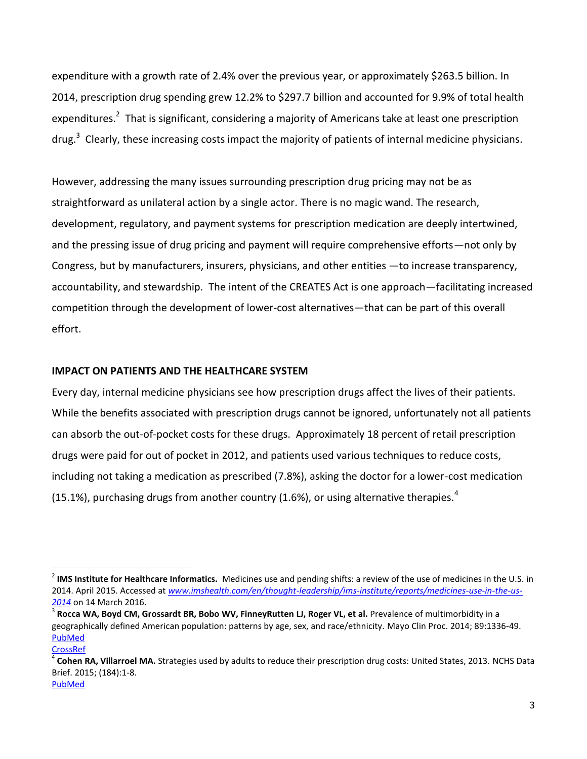expenditure with a growth rate of 2.4% over the previous year, or approximately \$263.5 billion. In 2014, prescription drug spending grew 12.2% to \$297.7 billion and accounted for 9.9% of total health expenditures.<sup>2</sup> That is significant, considering a majority of Americans take at least one prescription drug.<sup>3</sup> Clearly, these increasing costs impact the majority of patients of internal medicine physicians.

However, addressing the many issues surrounding prescription drug pricing may not be as straightforward as unilateral action by a single actor. There is no magic wand. The research, development, regulatory, and payment systems for prescription medication are deeply intertwined, and the pressing issue of drug pricing and payment will require comprehensive efforts—not only by Congress, but by manufacturers, insurers, physicians, and other entities —to increase transparency, accountability, and stewardship. The intent of the CREATES Act is one approach—facilitating increased competition through the development of lower-cost alternatives—that can be part of this overall effort.

## **IMPACT ON PATIENTS AND THE HEALTHCARE SYSTEM**

Every day, internal medicine physicians see how prescription drugs affect the lives of their patients. While the benefits associated with prescription drugs cannot be ignored, unfortunately not all patients can absorb the out-of-pocket costs for these drugs. Approximately 18 percent of retail prescription drugs were paid for out of pocket in 2012, and patients used various techniques to reduce costs, including not taking a medication as prescribed (7.8%), asking the doctor for a lower-cost medication (15.1%), purchasing drugs from another country (1.6%), or using alternative therapies.<sup>4</sup>

 $\overline{\phantom{a}}$ 

<sup>2</sup> **IMS Institute for Healthcare Informatics.** Medicines use and pending shifts: a review of the use of medicines in the U.S. in 2014. April 2015. Accessed at *[www.imshealth.com/en/thought-leadership/ims-institute/reports/medicines-use-in-the-us-](http://www.imshealth.com/en/thought-leadership/ims-institute/reports/medicines-use-in-the-us-2014)[2014](http://www.imshealth.com/en/thought-leadership/ims-institute/reports/medicines-use-in-the-us-2014)* on 14 March 2016.

<sup>3</sup> **Rocca WA, Boyd CM, Grossardt BR, Bobo WV, FinneyRutten LJ, Roger VL, et al.** Prevalence of multimorbidity in a geographically defined American population: patterns by age, sex, and race/ethnicity. Mayo Clin Proc. 2014; 89:1336-49. [PubMed](http://www.ncbi.nlm.nih.gov/pubmed/25220409)

**[CrossRef](http://dx.doi.org/10.1016/j.mayocp.2014.07.010)** 

<sup>4</sup> **Cohen RA, Villarroel MA.** Strategies used by adults to reduce their prescription drug costs: United States, 2013. NCHS Data Brief. 2015; (184):1-8. [PubMed](http://www.ncbi.nlm.nih.gov/pubmed/25633356)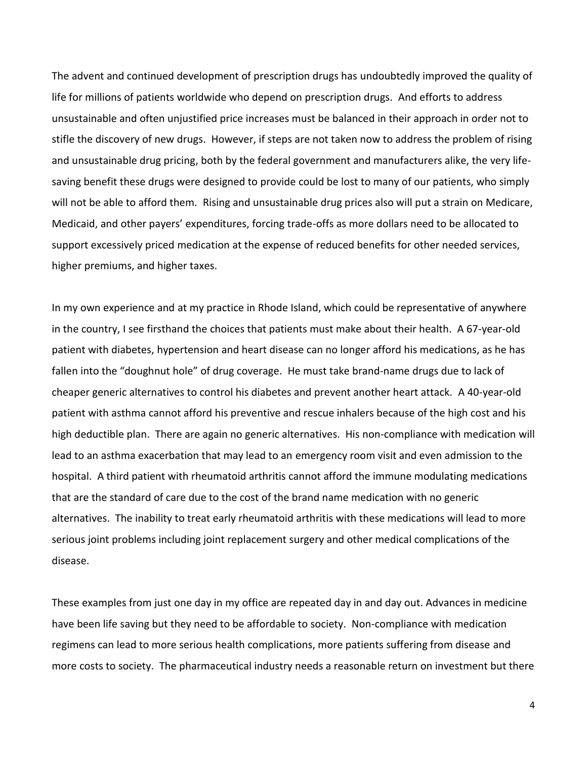The advent and continued development of prescription drugs has undoubtedly improved the quality of life for millions of patients worldwide who depend on prescription drugs. And efforts to address unsustainable and often unjustified price increases must be balanced in their approach in order not to stifle the discovery of new drugs. However, if steps are not taken now to address the problem of rising and unsustainable drug pricing, both by the federal government and manufacturers alike, the very lifesaving benefit these drugs were designed to provide could be lost to many of our patients, who simply will not be able to afford them. Rising and unsustainable drug prices also will put a strain on Medicare, Medicaid, and other payers' expenditures, forcing trade-offs as more dollars need to be allocated to support excessively priced medication at the expense of reduced benefits for other needed services, higher premiums, and higher taxes.

In my own experience and at my practice in Rhode Island, which could be representative of anywhere in the country, I see firsthand the choices that patients must make about their health. A 67-year-old patient with diabetes, hypertension and heart disease can no longer afford his medications, as he has fallen into the "doughnut hole" of drug coverage. He must take brand-name drugs due to lack of cheaper generic alternatives to control his diabetes and prevent another heart attack. A 40-year-old patient with asthma cannot afford his preventive and rescue inhalers because of the high cost and his high deductible plan. There are again no generic alternatives. His non-compliance with medication will lead to an asthma exacerbation that may lead to an emergency room visit and even admission to the hospital. A third patient with rheumatoid arthritis cannot afford the immune modulating medications that are the standard of care due to the cost of the brand name medication with no generic alternatives. The inability to treat early rheumatoid arthritis with these medications will lead to more serious joint problems including joint replacement surgery and other medical complications of the disease.

These examples from just one day in my office are repeated day in and day out. Advances in medicine have been life saving but they need to be affordable to society. Non-compliance with medication regimens can lead to more serious health complications, more patients suffering from disease and more costs to society. The pharmaceutical industry needs a reasonable return on investment but there

4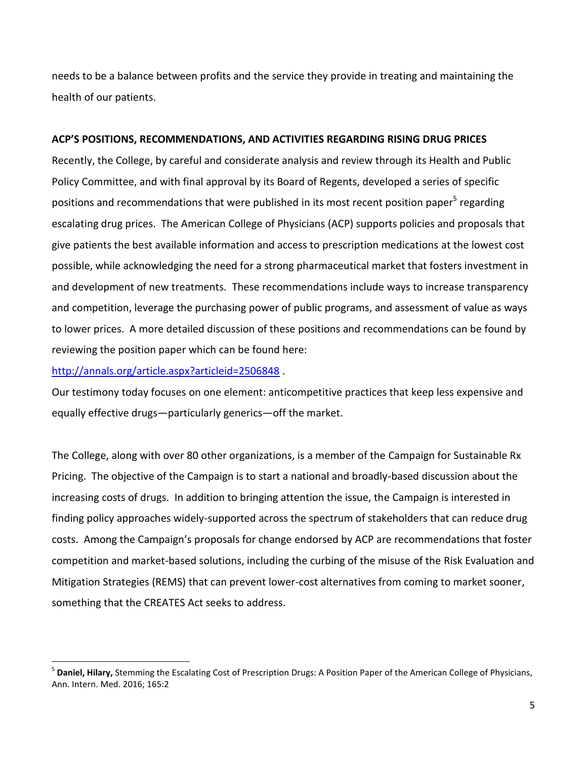needs to be a balance between profits and the service they provide in treating and maintaining the health of our patients.

### **ACP'S POSITIONS, RECOMMENDATIONS, AND ACTIVITIES REGARDING RISING DRUG PRICES**

Recently, the College, by careful and considerate analysis and review through its Health and Public Policy Committee, and with final approval by its Board of Regents, developed a series of specific positions and recommendations that were published in its most recent position paper<sup>5</sup> regarding escalating drug prices. The American College of Physicians (ACP) supports policies and proposals that give patients the best available information and access to prescription medications at the lowest cost possible, while acknowledging the need for a strong pharmaceutical market that fosters investment in and development of new treatments. These recommendations include ways to increase transparency and competition, leverage the purchasing power of public programs, and assessment of value as ways to lower prices. A more detailed discussion of these positions and recommendations can be found by reviewing the position paper which can be found here:

<http://annals.org/article.aspx?articleid=2506848> .

l

Our testimony today focuses on one element: anticompetitive practices that keep less expensive and equally effective drugs—particularly generics—off the market.

The College, along with over 80 other organizations, is a member of the Campaign for Sustainable Rx Pricing. The objective of the Campaign is to start a national and broadly-based discussion about the increasing costs of drugs. In addition to bringing attention the issue, the Campaign is interested in finding policy approaches widely-supported across the spectrum of stakeholders that can reduce drug costs. Among the Campaign's proposals for change endorsed by ACP are recommendations that foster competition and market-based solutions, including the curbing of the misuse of the Risk Evaluation and Mitigation Strategies (REMS) that can prevent lower-cost alternatives from coming to market sooner, something that the CREATES Act seeks to address.

<sup>5</sup> **Daniel, Hilary,** Stemming the Escalating Cost of Prescription Drugs: A Position Paper of the American College of Physicians, Ann. Intern. Med. 2016; 165:2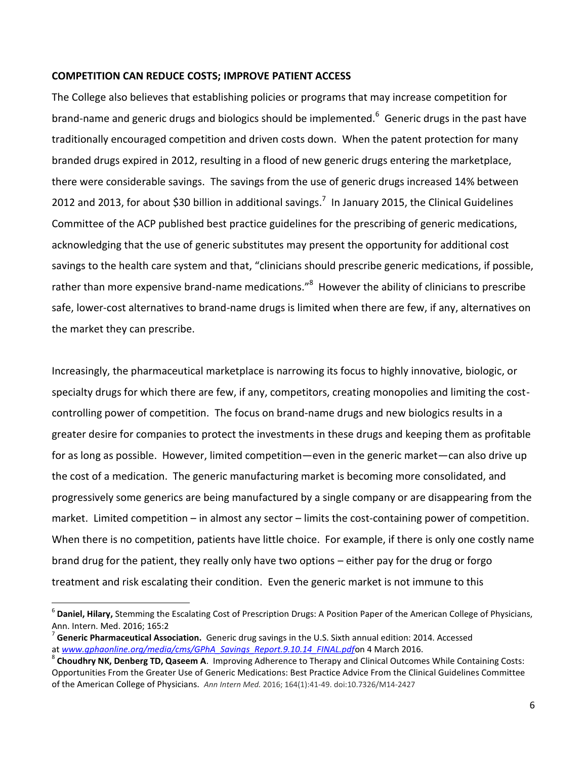#### **COMPETITION CAN REDUCE COSTS; IMPROVE PATIENT ACCESS**

The College also believes that establishing policies or programs that may increase competition for brand-name and generic drugs and biologics should be implemented. $6\,$  Generic drugs in the past have traditionally encouraged competition and driven costs down. When the patent protection for many branded drugs expired in 2012, resulting in a flood of new generic drugs entering the marketplace, there were considerable savings. The savings from the use of generic drugs increased 14% between 2012 and 2013, for about \$30 billion in additional savings.<sup>7</sup> In January 2015, the Clinical Guidelines Committee of the ACP published best practice guidelines for the prescribing of generic medications, acknowledging that the use of generic substitutes may present the opportunity for additional cost savings to the health care system and that, "clinicians should prescribe generic medications, if possible, rather than more expensive brand-name medications."<sup>8</sup> However the ability of clinicians to prescribe safe, lower-cost alternatives to brand-name drugs is limited when there are few, if any, alternatives on the market they can prescribe.

Increasingly, the pharmaceutical marketplace is narrowing its focus to highly innovative, biologic, or specialty drugs for which there are few, if any, competitors, creating monopolies and limiting the costcontrolling power of competition. The focus on brand-name drugs and new biologics results in a greater desire for companies to protect the investments in these drugs and keeping them as profitable for as long as possible. However, limited competition—even in the generic market—can also drive up the cost of a medication. The generic manufacturing market is becoming more consolidated, and progressively some generics are being manufactured by a single company or are disappearing from the market. Limited competition – in almost any sector – limits the cost-containing power of competition. When there is no competition, patients have little choice. For example, if there is only one costly name brand drug for the patient, they really only have two options – either pay for the drug or forgo treatment and risk escalating their condition. Even the generic market is not immune to this

 $\overline{\phantom{a}}$ 

<sup>6</sup> **Daniel, Hilary,** Stemming the Escalating Cost of Prescription Drugs: A Position Paper of the American College of Physicians, Ann. Intern. Med. 2016; 165:2

<sup>7</sup> **Generic Pharmaceutical Association.** Generic drug savings in the U.S. Sixth annual edition: 2014. Accessed at *[www.gphaonline.org/media/cms/GPhA\\_Savings\\_Report.9.10.14\\_FINAL.pdf](http://www.gphaonline.org/media/cms/GPhA_Savings_Report.9.10.14_FINAL.pdf)*on 4 March 2016.

<sup>8</sup> **Choudhry NK, Denberg TD, Qaseem A**. Improving Adherence to Therapy and Clinical Outcomes While Containing Costs: Opportunities From the Greater Use of Generic Medications: Best Practice Advice From the Clinical Guidelines Committee of the American College of Physicians. *Ann Intern Med.* 2016; 164(1):41-49. doi:10.7326/M14-2427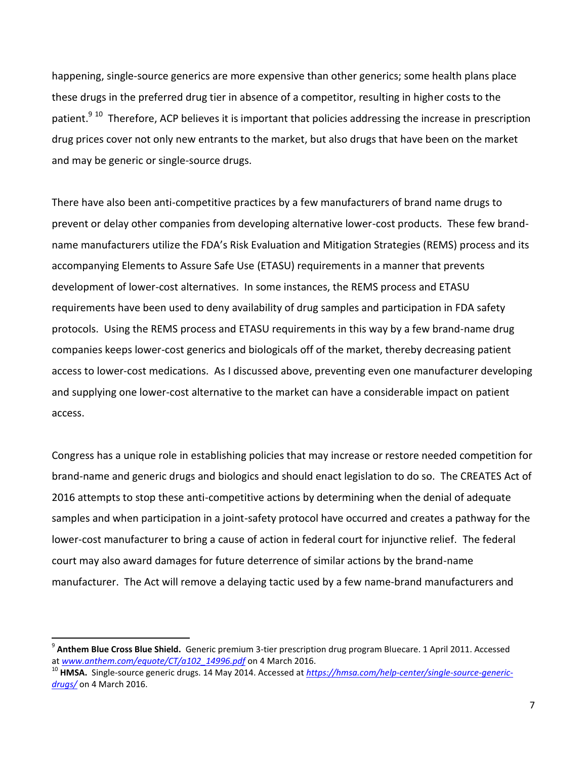happening, single-source generics are more expensive than other generics; some health plans place these drugs in the preferred drug tier in absence of a competitor, resulting in higher costs to the patient.<sup>9 10</sup> Therefore, ACP believes it is important that policies addressing the increase in prescription drug prices cover not only new entrants to the market, but also drugs that have been on the market and may be generic or single-source drugs.

There have also been anti-competitive practices by a few manufacturers of brand name drugs to prevent or delay other companies from developing alternative lower-cost products. These few brandname manufacturers utilize the FDA's Risk Evaluation and Mitigation Strategies (REMS) process and its accompanying Elements to Assure Safe Use (ETASU) requirements in a manner that prevents development of lower-cost alternatives. In some instances, the REMS process and ETASU requirements have been used to deny availability of drug samples and participation in FDA safety protocols. Using the REMS process and ETASU requirements in this way by a few brand-name drug companies keeps lower-cost generics and biologicals off of the market, thereby decreasing patient access to lower-cost medications. As I discussed above, preventing even one manufacturer developing and supplying one lower-cost alternative to the market can have a considerable impact on patient access.

Congress has a unique role in establishing policies that may increase or restore needed competition for brand-name and generic drugs and biologics and should enact legislation to do so. The CREATES Act of 2016 attempts to stop these anti-competitive actions by determining when the denial of adequate samples and when participation in a joint-safety protocol have occurred and creates a pathway for the lower-cost manufacturer to bring a cause of action in federal court for injunctive relief. The federal court may also award damages for future deterrence of similar actions by the brand-name manufacturer. The Act will remove a delaying tactic used by a few name-brand manufacturers and

 $\overline{a}$ 

<sup>9</sup> **Anthem Blue Cross Blue Shield.** Generic premium 3-tier prescription drug program Bluecare. 1 April 2011. Accessed at *[www.anthem.com/equote/CT/a102\\_14996.pdf](http://www.anthem.com/equote/CT/a102_14996.pdf)* on 4 March 2016.

<sup>10</sup> **HMSA.** Single-source generic drugs. 14 May 2014. Accessed at *[https://hmsa.com/help-center/single-source-generic](https://hmsa.com/help-center/single-source-generic-drugs/)[drugs/](https://hmsa.com/help-center/single-source-generic-drugs/)* on 4 March 2016.